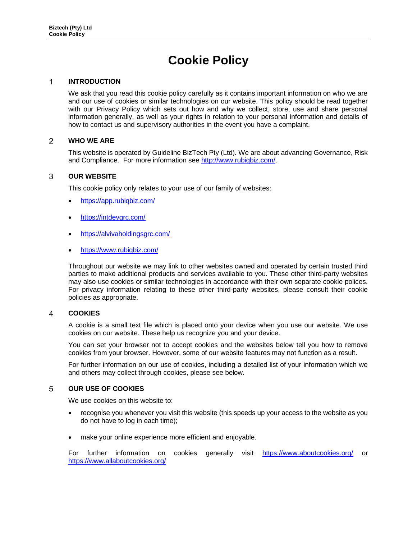# **Cookie Policy**

#### **INTRODUCTION**  1

We ask that you read this cookie policy carefully as it contains important information on who we are and our use of cookies or similar technologies on our website. This policy should be read together with our Privacy Policy which sets out how and why we collect, store, use and share personal information generally, as well as your rights in relation to your personal information and details of how to contact us and supervisory authorities in the event you have a complaint.

## $\overline{2}$ **WHO WE ARE**

This website is operated by Guideline BizTech Pty (Ltd). We are about advancing Governance, Risk and Compliance. For more information see [http://www.rubiqbiz.com/.](http://rubiqbiz.com/)

# 3 **OUR WEBSITE**

This cookie policy only relates to your use of our family of websites:

- <https://app.rubiqbiz.com/>
- <https://intdevgrc.com/>
- <https://alvivaholdingsgrc.com/>
- <https://www.rubiqbiz.com/>

Throughout our website we may link to other websites owned and operated by certain trusted third parties to make additional products and services available to you. These other third-party websites may also use cookies or similar technologies in accordance with their own separate cookie polices. For privacy information relating to these other third-party websites, please consult their cookie policies as appropriate.

## 4 **COOKIES**

A cookie is a small text file which is placed onto your device when you use our website. We use cookies on our website. These help us recognize you and your device.

You can set your browser not to accept cookies and the websites below tell you how to remove cookies from your browser. However, some of our website features may not function as a result.

For further information on our use of cookies, including a detailed list of your information which we and others may collect through cookies, please see below.

## 5 **OUR USE OF COOKIES**

We use cookies on this website to:

- recognise you whenever you visit this website (this speeds up your access to the website as you do not have to log in each time);
- make your online experience more efficient and enjoyable.

For further information on cookies generally visit <https://www.aboutcookies.org/> or <https://www.allaboutcookies.org/>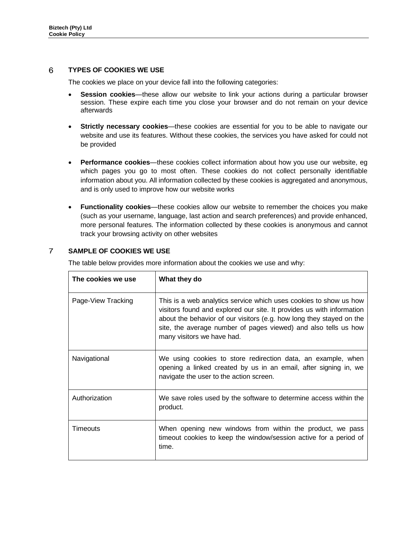# 6 **TYPES OF COOKIES WE USE**

The cookies we place on your device fall into the following categories:

- **Session cookies**—these allow our website to link your actions during a particular browser session. These expire each time you close your browser and do not remain on your device afterwards
- **Strictly necessary cookies**—these cookies are essential for you to be able to navigate our website and use its features. Without these cookies, the services you have asked for could not be provided
- **Performance cookies**—these cookies collect information about how you use our website, eg which pages you go to most often. These cookies do not collect personally identifiable information about you. All information collected by these cookies is aggregated and anonymous, and is only used to improve how our website works
- **Functionality cookies**—these cookies allow our website to remember the choices you make (such as your username, language, last action and search preferences) and provide enhanced, more personal features. The information collected by these cookies is anonymous and cannot track your browsing activity on other websites

# $\overline{7}$ **SAMPLE OF COOKIES WE USE**

The table below provides more information about the cookies we use and why:

| The cookies we use | What they do                                                                                                                                                                                                                                                                                                        |
|--------------------|---------------------------------------------------------------------------------------------------------------------------------------------------------------------------------------------------------------------------------------------------------------------------------------------------------------------|
| Page-View Tracking | This is a web analytics service which uses cookies to show us how<br>visitors found and explored our site. It provides us with information<br>about the behavior of our visitors (e.g. how long they stayed on the<br>site, the average number of pages viewed) and also tells us how<br>many visitors we have had. |
| Navigational       | We using cookies to store redirection data, an example, when<br>opening a linked created by us in an email, after signing in, we<br>navigate the user to the action screen.                                                                                                                                         |
| Authorization      | We save roles used by the software to determine access within the<br>product.                                                                                                                                                                                                                                       |
| Timeouts           | When opening new windows from within the product, we pass<br>timeout cookies to keep the window/session active for a period of<br>time.                                                                                                                                                                             |